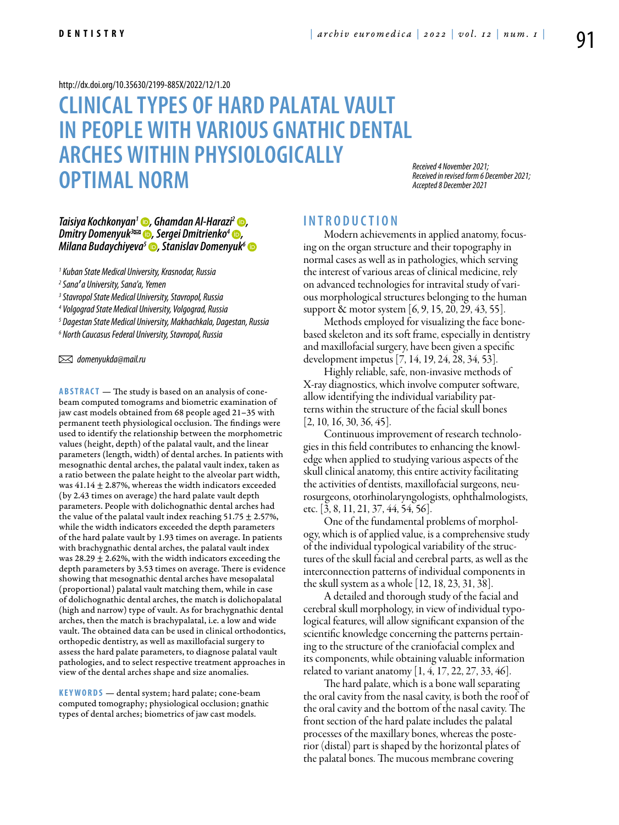#### <http://dx.doi.org/10.35630/2199-885X/2022/12/1.20>

# **Clinical types of hard palatal vault in people with various gnathic dental arches within physiologically optimal norm**

*Received 4 November 2021; Received in revised form 6 December 2021; Accepted 8 December 2021*

# *[Taisiya Kochkonyan1](https://orcid.org/0000-0003-1613-3425) , [Ghamdan Al-Harazi](https://orcid.org/0000-0001-5359-9545)2 , Dmitry Domenyuk<sup>3∞</sup> ●, [Sergei Dmitrienko](https://orcid.org/0000-0001-6955-2872)<sup>4</sup> ●, [Milana Budaychiyeva](https://orcid.org/0000-0002-1586-1773)<sup>5</sup>* **D**, Stanislav Domenyuk<sup>6</sup> **D**

*1 Kuban State Medical University, Krasnodar, Russia* 

<sup>2</sup> Sana**'** a University, Sana'a, Yemen<br><sup>3</sup> Stavronal State Medical University

 *Stavropol State Medical University, Stavropol, Russia* 

*4 Volgograd State Medical University, Volgograd, Russia*

*5 Dagestan State Medical University, Makhachkala, Dagestan, Russia*

*6 North Caucasus Federal University, Stavropol, Russia*

 *domenyukda@mail.ru* 

**ABSTRACT** — The study is based on an analysis of conebeam computed tomograms and biometric examination of jaw cast models obtained from 68 people aged 21–35 with permanent teeth physiological occlusion. The findings were used to identify the relationship between the morphometric values (height, depth) of the palatal vault, and the linear parameters (length, width) of dental arches. In patients with mesognathic dental arches, the palatal vault index, taken as a ratio between the palate height to the alveolar part width, was  $41.14 \pm 2.87$ %, whereas the width indicators exceeded (by 2.43 times on average) the hard palate vault depth parameters. People with dolichognathic dental arches had the value of the palatal vault index reaching  $51.75 \pm 2.57\%$ , while the width indicators exceeded the depth parameters of the hard palate vault by 1.93 times on average. In patients with brachygnathic dental arches, the palatal vault index was 28.29  $\pm$  2.62%, with the width indicators exceeding the depth parameters by 3.53 times on average. There is evidence showing that mesognathic dental arches have mesopalatal (proportional) palatal vault matching them, while in case of dolichognathic dental arches, the match is dolichopalatal (high and narrow) type of vault. As for brachygnathic dental arches, then the match is brachypalatal, i.e. a low and wide vault. The obtained data can be used in clinical orthodontics, orthopedic dentistry, as well as maxillofacial surgery to assess the hard palate parameters, to diagnose palatal vault pathologies, and to select respective treatment approaches in view of the dental arches shape and size anomalies.

**K e y w o rds** — dental system; hard palate; cone-beam computed tomography; physiological occlusion; gnathic types of dental arches; biometrics of jaw cast models.

# **I n t r o d u ct i o n**

Modern achievements in applied anatomy, focusing on the organ structure and their topography in normal cases as well as in pathologies, which serving the interest of various areas of clinical medicine, rely on advanced technologies for intravital study of various morphological structures belonging to the human support & motor system [6, 9, 15, 20, 29, 43, 55].

Methods employed for visualizing the face bonebased skeleton and its soft frame, especially in dentistry and maxillofacial surgery, have been given a specific development impetus [7, 14, 19, 24, 28, 34, 53].

Highly reliable, safe, non-invasive methods of X-ray diagnostics, which involve computer software, allow identifying the individual variability patterns within the structure of the facial skull bones  $[2, 10, 16, 30, 36, 45]$ .

Continuous improvement of research technologies in this field contributes to enhancing the knowledge when applied to studying various aspects of the skull clinical anatomy, this entire activity facilitating the activities of dentists, maxillofacial surgeons, neurosurgeons, otorhinolaryngologists, ophthalmologists, etc. [3, 8, 11, 21, 37, 44, 54, 56].

One of the fundamental problems of morphology, which is of applied value, is a comprehensive study of the individual typological variability of the structures of the skull facial and cerebral parts, as well as the interconnection patterns of individual components in the skull system as a whole [12, 18, 23, 31, 38].

A detailed and thorough study of the facial and cerebral skull morphology, in view of individual typological features, will allow significant expansion of the scientific knowledge concerning the patterns pertaining to the structure of the craniofacial complex and its components, while obtaining valuable information related to variant anatomy [1, 4, 17, 22, 27, 33, 46].

The hard palate, which is a bone wall separating the oral cavity from the nasal cavity, is both the roof of the oral cavity and the bottom of the nasal cavity. The front section of the hard palate includes the palatal processes of the maxillary bones, whereas the posterior (distal) part is shaped by the horizontal plates of the palatal bones. The mucous membrane covering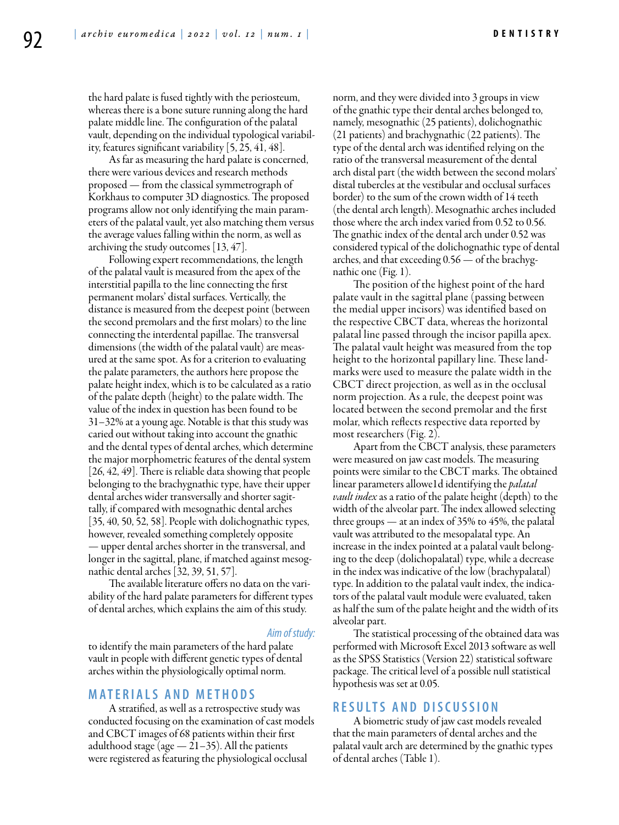**D e n t is t r y**

the hard palate is fused tightly with the periosteum, whereas there is a bone suture running along the hard palate middle line. The configuration of the palatal vault, depending on the individual typological variability, features significant variability [5, 25, 41, 48].

As far as measuring the hard palate is concerned, there were various devices and research methods proposed — from the classical symmetrograph of Korkhaus to computer 3D diagnostics. The proposed programs allow not only identifying the main parameters of the palatal vault, yet also matching them versus the average values falling within the norm, as well as archiving the study outcomes [13, 47].

Following expert recommendations, the length of the palatal vault is measured from the apex of the interstitial papilla to the line connecting the first permanent molars' distal surfaces. Vertically, the distance is measured from the deepest point (between the second premolars and the first molars) to the line connecting the interdental papillae. The transversal dimensions (the width of the palatal vault) are measured at the same spot. As for a criterion to evaluating the palate parameters, the authors here propose the palate height index, which is to be calculated as a ratio of the palate depth (height) to the palate width. The value of the index in question has been found to be 31–32% at a young age. Notable is that this study was caried out without taking into account the gnathic and the dental types of dental arches, which determine the major morphometric features of the dental system [26, 42, 49]. There is reliable data showing that people belonging to the brachygnathic type, have their upper dental arches wider transversally and shorter sagittally, if compared with mesognathic dental arches  $[35, 40, 50, 52, 58]$ . People with dolichognathic types, however, revealed something completely opposite — upper dental arches shorter in the transversal, and longer in the sagittal, plane, if matched against mesognathic dental arches [32, 39, 51, 57].

The available literature offers no data on the variability of the hard palate parameters for different types of dental arches, which explains the aim of this study.

#### *Aim of study:*

to identify the main parameters of the hard palate vault in people with different genetic types of dental arches within the physiologically optimal norm.

### **MATERIALS AND METHODS**

A stratified, as well as a retrospective study was conducted focusing on the examination of cast models and CBCT images of 68 patients within their first adulthood stage (age  $-21-35$ ). All the patients were registered as featuring the physiological occlusal

norm, and they were divided into 3 groups in view of the gnathic type their dental arches belonged to, namely, mesognathic (25 patients), dolichognathic (21 patients) and brachygnathic (22 patients). The type of the dental arch was identified relying on the ratio of the transversal measurement of the dental arch distal part (the width between the second molars' distal tubercles at the vestibular and occlusal surfaces border) to the sum of the crown width of 14 teeth (the dental arch length). Mesognathic arches included those where the arch index varied from 0.52 to 0.56. The gnathic index of the dental arch under 0.52 was considered typical of the dolichognathic type of dental arches, and that exceeding 0.56 — of the brachygnathic one (Fig. 1).

The position of the highest point of the hard palate vault in the sagittal plane (passing between the medial upper incisors) was identified based on the respective CBCT data, whereas the horizontal palatal line passed through the incisor papilla apex. The palatal vault height was measured from the top height to the horizontal papillary line. These landmarks were used to measure the palate width in the CBCT direct projection, as well as in the occlusal norm projection. As a rule, the deepest point was located between the second premolar and the first molar, which reflects respective data reported by most researchers (Fig. 2).

Apart from the CBCT analysis, these parameters were measured on jaw cast models. The measuring points were similar to the CBCT marks. The obtained linear parameters allowe1d identifying the *palatal vault index* as a ratio of the palate height (depth) to the width of the alveolar part. The index allowed selecting three groups — at an index of 35% to 45%, the palatal vault was attributed to the mesopalatal type. An increase in the index pointed at a palatal vault belonging to the deep (dolichopalatal) type, while a decrease in the index was indicative of the low (brachypalatal) type. In addition to the palatal vault index, the indicators of the palatal vault module were evaluated, taken as half the sum of the palate height and the width of its alveolar part.

The statistical processing of the obtained data was performed with Microsoft Excel 2013 software as well as the SPSS Statistics (Version 22) statistical software package. The critical level of a possible null statistical hypothesis was set at 0.05.

# **RESULTS AND DISC USSION**

A biometric study of jaw cast models revealed that the main parameters of dental arches and the palatal vault arch are determined by the gnathic types of dental arches (Table 1).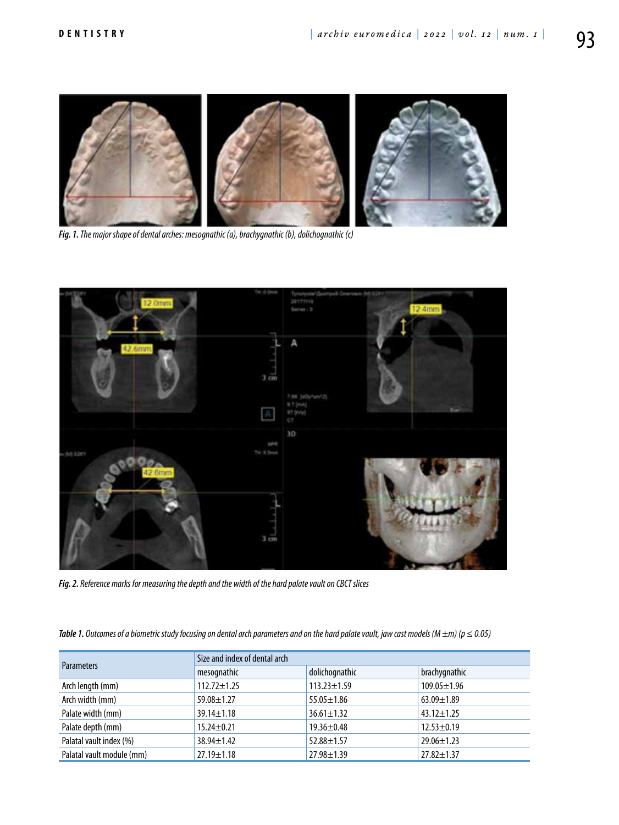

*Fig. 1. The major shape of dental arches: mesognathic (a), brachygnathic (b), dolichognathic (c)*



*Fig. 2. Reference marks for measuring the depth and the width of the hard palate vault on CBCT slices*

**Table 1.** Outcomes of a biometric study focusing on dental arch parameters and on the hard palate vault, jaw cast models (M  $\pm$ m) (p  $\leq$  0.05)

| <b>Parameters</b>         | Size and index of dental arch |                   |                   |
|---------------------------|-------------------------------|-------------------|-------------------|
|                           | mesognathic                   | dolichognathic    | brachygnathic     |
| Arch length (mm)          | $112.72 \pm 1.25$             | $113.23 \pm 1.59$ | $109.05 \pm 1.96$ |
| Arch width (mm)           | 59.08±1.27                    | $55.05 \pm 1.86$  | $63.09 \pm 1.89$  |
| Palate width (mm)         | $39.14 \pm 1.18$              | $36.61 \pm 1.32$  | $43.12 \pm 1.25$  |
| Palate depth (mm)         | $15.24 \pm 0.21$              | $19.36 \pm 0.48$  | $12.53 \pm 0.19$  |
| Palatal vault index (%)   | $38.94 \pm 1.42$              | $52.88 \pm 1.57$  | $29.06 \pm 1.23$  |
| Palatal vault module (mm) | $27.19 \pm 1.18$              | $27.98 \pm 1.39$  | $27.82 \pm 1.37$  |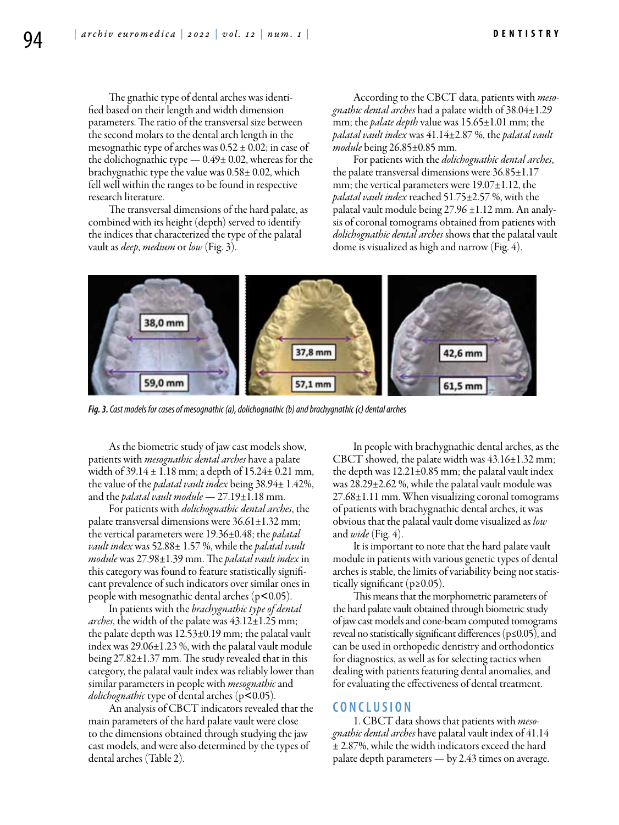The gnathic type of dental arches was identified based on their length and width dimension parameters. The ratio of the transversal size between the second molars to the dental arch length in the mesognathic type of arches was  $0.52 \pm 0.02$ ; in case of the dolichognathic type  $-0.49\pm0.02$ , whereas for the brachygnathic type the value was 0.58± 0.02, which fell well within the ranges to be found in respective research literature.

The transversal dimensions of the hard palate, as combined with its height (depth) served to identify the indices that characterized the type of the palatal vault as *deep*, *medium* or *low* (Fig. 3).

According to the CBCT data, patients with *mesognathic dental arches* had a palate width of 38.04±1.29 mm; the *palate depth* value was 15.65±1.01 mm; the *palatal vault index* was 41.14±2.87 %, the *palatal vault module* being 26.85±0.85 mm.

For patients with the *dolichognathic dental arches*, the palate transversal dimensions were 36.85±1.17 mm; the vertical parameters were 19.07±1.12, the *palatal vault index* reached 51.75±2.57 %, with the palatal vault module being 27.96 ±1.12 mm. An analysis of coronal tomograms obtained from patients with *dolichognathic dental arches* shows that the palatal vault dome is visualized as high and narrow (Fig. 4).



*Fig. 3. Cast models for cases of mesognathic (a), dolichognathic (b) and brachygnathic (c) dental arches*

As the biometric study of jaw cast models show, patients with *mesognathic dental arches* have a palate width of 39.14 ± 1.18 mm; a depth of 15.24± 0.21 mm, the value of the *palatal vault index* being 38.94± 1.42%, and the *palatal vault module* — 27.19±1.18 mm.

For patients with *dolichognathic dental arches*, the palate transversal dimensions were  $36.61 \pm 1.32$  mm; the vertical parameters were 19.36±0.48; the *palatal vault index* was 52.88± 1.57 %, while the *palatal vault module* was 27.98±1.39 mm. The *palatal vault index* in this category was found to feature statistically significant prevalence of such indicators over similar ones in people with mesognathic dental arches  $(p<0.05)$ .

In patients with the *brachygnathic type of dental arches*, the width of the palate was 43.12±1.25 mm; the palate depth was 12.53±0.19 mm; the palatal vault index was 29.06±1.23 %, with the palatal vault module being 27.82±1.37 mm. The study revealed that in this category, the palatal vault index was reliably lower than similar parameters in people with *mesognathic* and *dolichognathic* type of dental arches (р˂0.05).

An analysis of CBCT indicators revealed that the main parameters of the hard palate vault were close to the dimensions obtained through studying the jaw cast models, and were also determined by the types of dental arches (Table 2).

In people with brachygnathic dental arches, as the CBCT showed, the palate width was 43.16±1.32 mm; the depth was  $12.21 \pm 0.85$  mm; the palatal vault index was 28.29±2.62 %, while the palatal vault module was 27.68±1.11 mm. When visualizing coronal tomograms of patients with brachygnathic dental arches, it was obvious that the palatal vault dome visualized as *low* and *wide* (Fig. 4).

It is important to note that the hard palate vault module in patients with various genetic types of dental arches is stable, the limits of variability being not statistically significant ( $p \ge 0.05$ ).

This means that the morphometric parameters of the hard palate vault obtained through biometric study of jaw cast models and cone-beam computed tomograms reveal no statistically significant differences ( $p \le 0.05$ ), and can be used in orthopedic dentistry and orthodontics for diagnostics, as well as for selecting tactics when dealing with patients featuring dental anomalies, and for evaluating the effectiveness of dental treatment.

## **C ON CLUSION**

1. CBCT data shows that patients with *mesognathic dental arches* have palatal vault index of 41.14 ± 2.87%, while the width indicators exceed the hard palate depth parameters — by 2.43 times on average.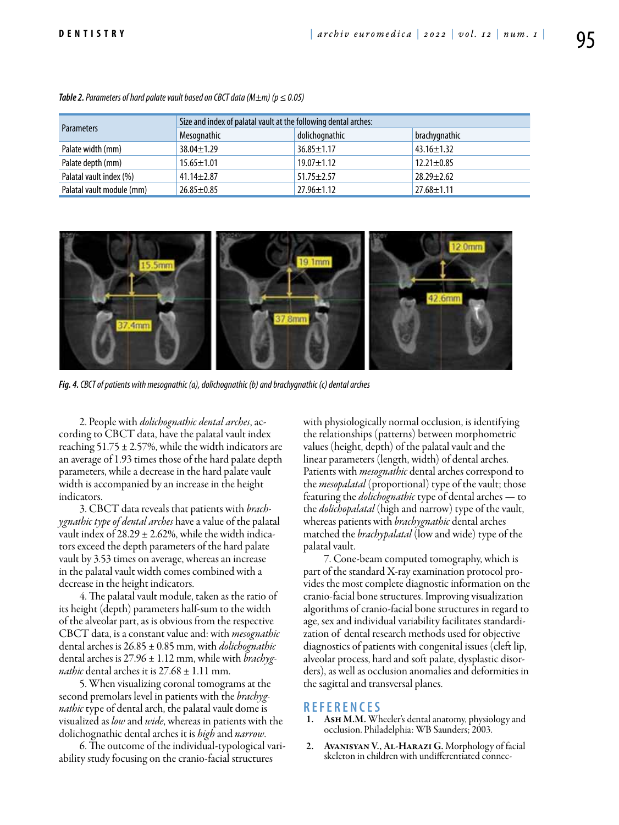| <b>Parameters</b>         | Size and index of palatal vault at the following dental arches: |                  |                  |  |
|---------------------------|-----------------------------------------------------------------|------------------|------------------|--|
|                           | Mesognathic                                                     | dolichognathic   | brachygnathic    |  |
| Palate width (mm)         | $38.04 \pm 1.29$                                                | $36.85 \pm 1.17$ | $43.16 \pm 1.32$ |  |
| Palate depth (mm)         | $15.65 \pm 1.01$                                                | $19.07 \pm 1.12$ | $12.21 \pm 0.85$ |  |
| Palatal vault index (%)   | $41.14 \pm 2.87$                                                | $51.75 \pm 2.57$ | $28.29 \pm 2.62$ |  |
| Palatal vault module (mm) | $26.85 \pm 0.85$                                                | $27.96 \pm 1.12$ | $27.68 \pm 1.11$ |  |

*Table 2. Parameters of hard palate vault based on CBCT data (M* $\pm$ *m) (p*  $\leq$  *0.05)* 



*Fig. 4. CBCT of patients with mesognathic (a), dolichognathic (b) and brachygnathic (c) dental arches*

2. People with *dolichognathic dental arches*, according to CBCT data, have the palatal vault index reaching  $51.75 \pm 2.57$ %, while the width indicators are an average of 1.93 times those of the hard palate depth parameters, while a decrease in the hard palate vault width is accompanied by an increase in the height indicators.

3. CBCT data reveals that patients with *brachygnathic type of dental arches* have a value of the palatal vault index of  $28.29 \pm 2.62$ %, while the width indicators exceed the depth parameters of the hard palate vault by 3.53 times on average, whereas an increase in the palatal vault width comes combined with a decrease in the height indicators.

4. The palatal vault module, taken as the ratio of its height (depth) parameters half-sum to the width of the alveolar part, as is obvious from the respective CBCT data, is a constant value and: with *mesognathic* dental arches is 26.85 ± 0.85 mm, with *dolichognathic* dental arches is 27.96 ± 1.12 mm, while with *brachygnathic* dental arches it is  $27.68 \pm 1.11$  mm.

5. When visualizing coronal tomograms at the second premolars level in patients with the *brachygnathic* type of dental arch, the palatal vault dome is visualized as *low* and *wide*, whereas in patients with the dolichognathic dental arches it is *high* and *narrow*.

6. The outcome of the individual-typological variability study focusing on the cranio-facial structures

with physiologically normal occlusion, is identifying the relationships (patterns) between morphometric values (height, depth) of the palatal vault and the linear parameters (length, width) of dental arches. Patients with *mesognathic* dental arches correspond to the *mesopalatal* (proportional) type of the vault; those featuring the *dolichognathic* type of dental arches — to the *dolichopalatal* (high and narrow) type of the vault, whereas patients with *brachygnathic* dental arches matched the *brachypalatal* (low and wide) type of the palatal vault.

7. Cone-beam computed tomography, which is part of the standard X-ray examination protocol provides the most complete diagnostic information on the cranio-facial bone structures. Improving visualization algorithms of cranio-facial bone structures in regard to age, sex and individual variability facilitates standardization of dental research methods used for objective diagnostics of patients with congenital issues (cleft lip, alveolar process, hard and soft palate, dysplastic disorders), as well as occlusion anomalies and deformities in the sagittal and transversal planes.

- **REFEREN CES** 1. Ash M.M. Wheeler's dental anatomy, physiology and occlusion. Philadelphia: WB Saunders; 2003.
- 2. Avanisyan V., Al-Harazi G. Morphology of facial skeleton in children with undifferentiated connec-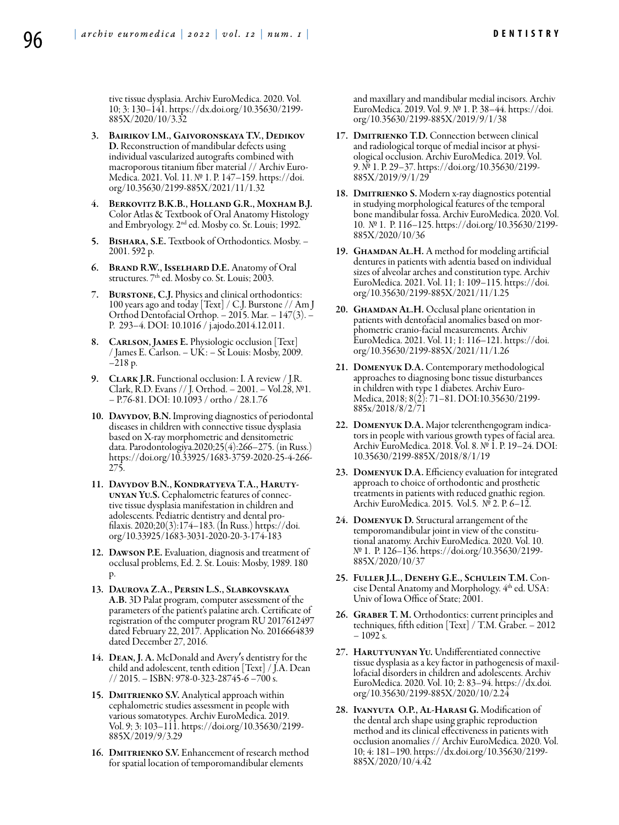tive tissue dysplasia. Archiv EuroMedica. 2020. Vol. 10; 3: 130–141. https://dx.doi.org/10.35630/2199- 885X/2020/10/3.32

- 3. Bairikov I.M., Gaivoronskaya T.V., Dedikov D. Reconstruction of mandibular defects using individual vascularized autografts combined with macroporous titanium fiber material // Archiv Euro-Medica. 2021. Vol. 11. № 1. P. 147–159. https://doi. org/10.35630/2199-885X/2021/11/1.32
- 4. Berkovitz B.K.B., Holland G.R., Moxham B.J. Color Atlas & Textbook of Oral Anatomy Histology and Embryology. 2nd ed. Mosby co. St. Louis; 1992.
- 5. Bisharа, S.E. Textbook of Orthodontics. Mosby. 2001. 592 р.
- 6. Brand R.W., Isselhard D.E. Anatomy of Oral structures. 7<sup>th</sup> ed. Mosby co. St. Louis; 2003.
- 7. Burstone, C.J. Physics and clinical orthodontics: 100 years ago and today [Text] / C.J. Burstone // Am J Orthod Dentofacial Orthop. – 2015. Mar. – 147(3). – Р. 293–4. DOI: 10.1016 / j.ajodo.2014.12.011.
- 8. CARLSON, JAMES E. Physiologic occlusion [Text] / James E. Carlson. – UK: – St Louis: Mosby, 2009. –218 р.
- 9. CLARK J.R. Functional occlusion: I. A review / J.R. Clark, R.D. Evans // J. Orthod. – 2001. – Vol.28, №1. – P.76-81. DOI: 10.1093 / ortho / 28.1.76
- 10. DAVYDOV, B.N. Improving diagnostics of periodontal diseases in children with connective tissue dysplasia based on X-ray morphometric and densitometric data. Parodontologiya.2020;25(4):266–275. (in Russ.) https://doi.org/10.33925/1683-3759-2020-25-4-266- 275.
- 11. Davydov B.N., Kondratyeva T.A., Harutyunyan Yu.S. Cephalometric features of connective tissue dysplasia manifestation in children and adolescents. Pediatric dentistry and dental profilaxis. 2020;20(3):174–183. (In Russ.) https://doi. org/10.33925/1683-3031-2020-20-3-174-183
- 12. Dawson P.E. Evaluation, diagnosis and treatment of occlusal problems, Ed. 2. St. Louis: Mosby, 1989. 180 p.
- 13. Daurova Z.A., Persin L.S., Slabkovskaya A.B. 3D Palat program, computer assessment of the parameters of the patient's palatine arch. Certificate of registration of the computer program RU 2017612497 dated February 22, 2017. Application No. 2016664839 dated December 27, 2016.
- 14. Dean, J. A. McDonald and Avery's dentistry for the child and adolescent, tenth edition [Text] / J.A. Dean // 2015. – ISBN: 978-0-323-28745-6 –700 s.
- 15. DMITRIENKO S.V. Analytical approach within cephalometric studies assessment in people with various somatotypes. Archiv EuroMedica. 2019. Vol. 9; 3: 103–111. https://doi.org/10.35630/2199- 885X/2019/9/3.29
- 16. DMITRIENKO S.V. Enhancement of research method for spatial location of temporomandibular elements

and maxillary and mandibular medial incisors. Archiv EuroMedica. 2019. Vol. 9. № 1. P. 38–44. https://doi. org/10.35630/2199-885X/2019/9/1/38

- 17. DMITRIENKO T.D. Connection between clinical and radiological torque of medial incisor at physiological occlusion. Archiv EuroMedica. 2019. Vol. 9. № 1. P. 29–37. https://doi.org/10.35630/2199- 885X/2019/9/1/29
- 18. DMITRIENKO S. Modern x-ray diagnostics potential in studying morphological features of the temporal bone mandibular fossa. Archiv EuroMedica. 2020. Vol. 10. № 1. Р. 116–125. https://doi.org/10.35630/2199- 885X/2020/10/36
- 19. GHAMDAN AL.H. A method for modeling artificial dentures in patients with adentia based on individual sizes of alveolar arches and constitution type. Archiv EuroMedica. 2021. Vol. 11; 1: 109–115. https://doi. org/10.35630/2199-885X/2021/11/1.25
- 20. GHAMDAN AL.H. Occlusal plane orientation in patients with dentofacial anomalies based on morphometric cranio-facial measurements. Archiv EuroMedica. 2021. Vol. 11; 1: 116–121. https://doi. org/10.35630/2199-885X/2021/11/1.26
- 21. Domenyuk D.A. Contemporary methodological approaches to diagnosing bone tissue disturbances in children with type 1 diabetes. Archiv Euro-Medica, 2018; 8(2): 71–81. DOI:10.35630/2199- 885x/2018/8/2/71
- 22. Domenyuk D.A. Major telerenthengogram indicators in people with various growth types of facial area. Archiv EuroMedica. 2018. Vol. 8. № 1. P. 19–24. DOI: 10.35630/2199-885X/2018/8/1/19
- 23. Domenyuk D.A. Efficiency evaluation for integrated approach to choice of orthodontic and prosthetic treatments in patients with reduced gnathic region. Archiv EuroMedica. 2015. Vol.5. № 2. Р. 6–12.
- 24. Domenyuk D. Structural arrangement of the temporomandibular joint in view of the constitutional anatomy. Archiv EuroMedica. 2020. Vol. 10. № 1. Р. 126–136. https://doi.org/10.35630/2199- 885X/2020/10/37
- 25. Fuller J.L., Denehy G.E., Schulein T.M. Concise Dental Anatomy and Morphology. 4<sup>th</sup> ed. USA: Univ of Iowa Office of State; 2001.
- 26. Graber T. M. Orthodontics: current principles and techniques, fifth edition [Text] / T.M. Graber. – 2012  $-1092$  s.
- 27. HARUTYUNYAN YU. Undifferentiated connective<br>tissue dysplasia as a key factor in pathogenesis of maxillofacial disorders in children and adolescents. Archiv EuroMedica. 2020. Vol. 10; 2: 83–94. https://dx.doi. org/10.35630/2199-885X/2020/10/2.24
- 28. Ivanyuta O.P., Al-Harasi G. Modification of the dental arch shape using graphic reproduction method and its clinical effectiveness in patients with occlusion anomalies // Archiv EuroMedica. 2020. Vol. 10; 4: 181–190. https://dx.doi.org/10.35630/2199- 885X/2020/10/4.42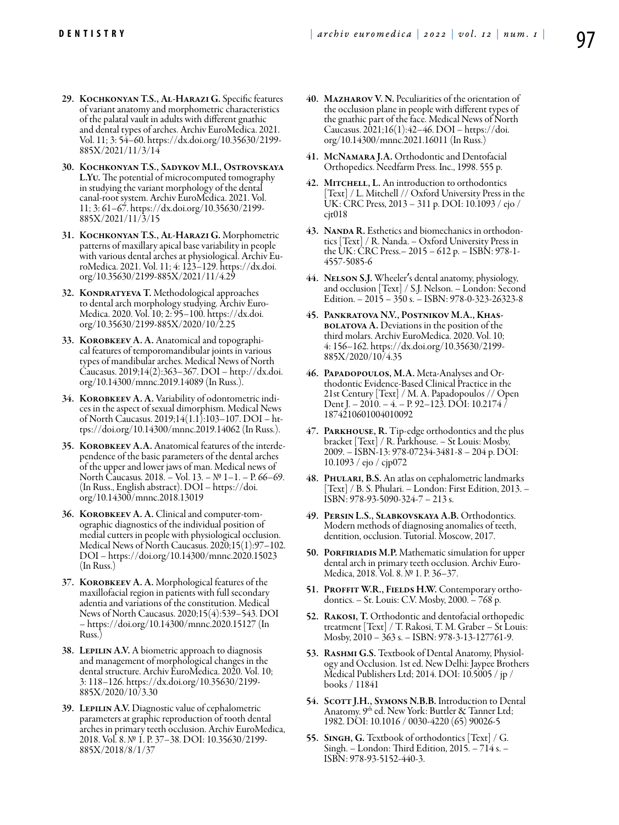- 29. Kochkonyan T.S., Al-Harazi G. Specific features of variant anatomy and morphometric characteristics of the palatal vault in adults with different gnathic and dental types of arches. Archiv EuroMedica. 2021. Vol. 11; 3: 54–60. https://dx.doi.org/10.35630/2199- 885X/2021/11/3/14
- 30. Kochkonyan T.S., Sadykov M.I., Ostrovskaya L.Yu. The potential of microcomputed tomography in studying the variant morphology of the dental canal-root system. Archiv EuroMedica. 2021. Vol. 11; 3: 61–67. https://dx.doi.org/10.35630/2199- 885X/2021/11/3/15
- 31. Kochkonyan T.S., Al-Harazi G. Morphometric patterns of maxillary apical base variability in people with various dental arches at physiological. Archiv EuroMedica. 2021. Vol. 11; 4: 123–129. https://dx.doi. org/10.35630/2199-885X/2021/11/4.29
- 32. KONDRATYEVA T. Methodological approaches<br>to dental arch morphology studying. Archiv Euro-Medica. 2020. Vol. 10; 2: 95–100. https://dx.doi. org/10.35630/2199-885X/2020/10/2.25
- 33. Korobkeev A. A. Anatomical and topographical features of temporomandibular joints in various types of mandibular arches. Medical News of North Caucasus. 2019;14(2):363–367. DOI – http://dx.doi. org/10.14300/mnnc.2019.14089 (In Russ.).
- 34. KOROBKEEV A. A. Variability of odontometric indices in the aspect of sexual dimorphism. Medical News of North Caucasus. 2019;14(1.1):103–107. DOI – https://doi.org/10.14300/mnnc.2019.14062 (In Russ.).
- 35. Korobkeev А.A. Anatomical features of the interdependence of the basic parameters of the dental arches of the upper and lower jaws of man. Medical news of North Caucasus. 2018. – Vol. 13. – № 1–1. – P. 66–69. (In Russ., English abstract). DOI – https://doi. org/10.14300/mnnc.2018.13019
- **36. KOROBKEEV A. A.** Clinical and computer-tom-<br>ographic diagnostics of the individual position of medial cutters in people with physiological occlusion. Medical News of North Caucasus. 2020;15(1):97–102. DOI – https://doi.org/10.14300/mnnc.2020.15023 (In Russ.)
- 37. Korobkeev А. А. Morphological features of the maxillofacial region in patients with full secondary adentia and variations of the constitution. Medical News of North Caucasus. 2020;15(4):539–543. DOI – https://doi.org/10.14300/mnnc.2020.15127 (In Russ.)
- 38. LEPILIN A.V. A biometric approach to diagnosis and management of morphological changes in the dental structure. Archiv EuroMedica. 2020. Vol. 10; 3: 118–126. https://dx.doi.org/10.35630/2199- 885X/2020/10/3.30
- 39. LEPILIN A.V. Diagnostic value of cephalometric parameters at graphic reproduction of tooth dental arches in primary teeth occlusion. Archiv EuroMedica, 2018. Vol. 8. № 1. P. 37–38. DOI: 10.35630/2199- 885X/2018/8/1/37
- 40. Mazharov V. N. Peculiarities of the orientation of the occlusion plane in people with different types of the gnathic part of the face. Medical News of North Caucasus. 2021;16(1):42–46. DOI – https://doi. org/10.14300/mnnc.2021.16011 (In Russ.)
- 41. McNamara J.A. Orthodontic and Dentofacial Orthopedics. Needfarm Press. Inc., 1998. 555 p.
- 42. MITCHELL, L. An introduction to orthodontics [Text] / L. Mitchell // Oxford University Press in the UK: CRC Press, 2013 – 311 р. DOI: 10.1093 / ejo / cjt018
- 43. NANDA R. Esthetics and biomechanics in orthodontics [Text] / R. Nanda. – Oxford University Press in the UK: CRC Press.– 2015 – 612 р. – ISBN: 978-1- 4557-5085-6
- 44. NELSON S.J. Wheeler's dental anatomy, physiology, and occlusion [Text] / S.J. Nelson. – London: Second Edition. – 2015 – 350 s. – ISBN: 978-0-323-26323-8
- 45. Pankratova N.V., Postnikov M.A., Khas-**BOLATOVA A.** Deviations in the position of the third molars. Archiv EuroMedica. 2020. Vol. 10; 4: 156–162. https://dx.doi.org/10.35630/2199- 885X/2020/10/4.35
- 46. PAPADOPOULOS, M.A. Meta-Analyses and Orthodontic Evidence-Based Clinical Practice in the 21st Century [Text] / M. A. Papadopoulos // Open Dent J. – 2010. – 4. – Р. 92–123. DOI: 10.2174 / 1874210601004010092
- 47. PARKHOUSE, R. Tip-edge orthodontics and the plus bracket [Text] / R. Parkhouse. – St Louis: Mosby, 2009. – ISBN-13: 978-07234-3481-8 – 204 р. DOI: 10.1093 / ejo / cjp072
- 48. PHULARI, B.S. An atlas on cephalometric landmarks [Text] / B. S. Phulari. – London: First Edition, 2013. – ISBN: 978-93-5090-324-7 – 213 s.
- 49. Persin L.S., Slabkovskaya A.B. Orthodontics. Modern methods of diagnosing anomalies of teeth, dentition, occlusion. Tutorial. Moscow, 2017.
- **50. PORFIRIADIS M.P.** Mathematic simulation for upper dental arch in primary teeth occlusion. Archiv Euro- Medica, 2018. Vol. 8. № 1. P. 36–37.
- 51. PROFFIT W.R., FIELDS H.W. Contemporary orthodontics. – St. Louis: C.V. Mosby, 2000. – 768 р.
- 52. Rakosi, T. Orthodontic and dentofacial orthopedic treatment [Text] / T. Rakosi, T. M. Graber – St Louis: Mosby, 2010 – 363 s. – ISBN: 978-3-13-127761-9.
- 53. RASHMI G.S. Textbook of Dental Anatomy, Physiology and Occlusion. 1st ed. New Delhi: Jaypee Brothers Medical Publishers Ltd; 2014. DOI: 10.5005 / jp / books / 11841
- 54. SCOTT J.H., SYMONS N.B.B. Introduction to Dental Anatomy. 9th ed. New York: Buttler & Tanner Ltd; 1982. DOI: 10.1016 / 0030-4220 (65) 90026-5
- 55. Singh, G. Textbook of orthodontics [Text] / G. Singh. – London: Third Edition, 2015. – 714 s. – ISBN: 978-93-5152-440-3.